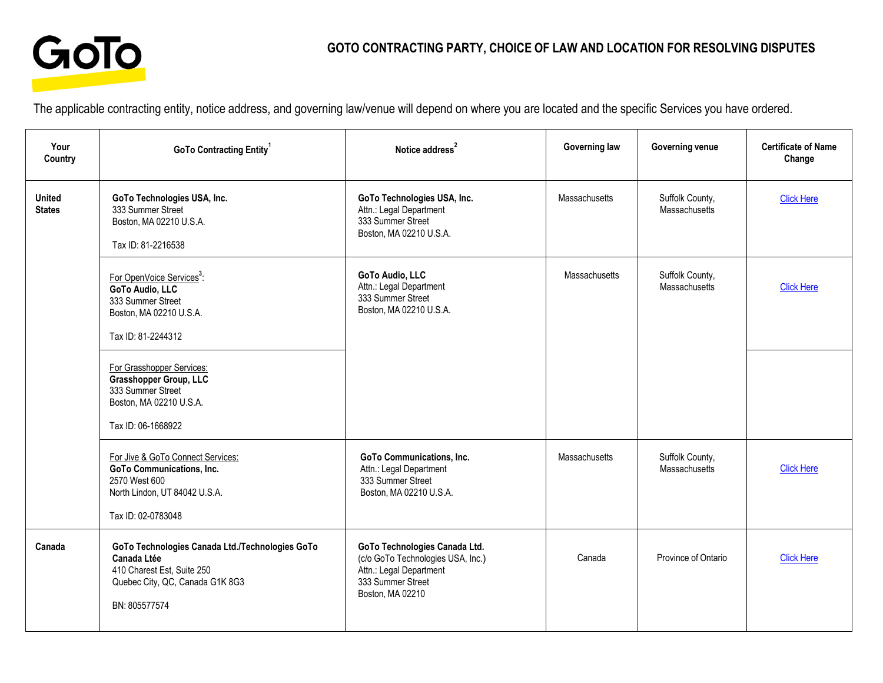

The applicable contracting entity, notice address, and governing law/venue will depend on where you are located and the specific Services you have ordered.

| Your<br>Country                | GoTo Contracting Entity <sup>1</sup>                                                                                                                    | Notice address <sup>2</sup>                                                                                                            | Governing law        | <b>Governing venue</b>           | <b>Certificate of Name</b><br>Change |
|--------------------------------|---------------------------------------------------------------------------------------------------------------------------------------------------------|----------------------------------------------------------------------------------------------------------------------------------------|----------------------|----------------------------------|--------------------------------------|
| <b>United</b><br><b>States</b> | GoTo Technologies USA, Inc.<br>333 Summer Street<br>Boston, MA 02210 U.S.A.<br>Tax ID: 81-2216538                                                       | GoTo Technologies USA, Inc.<br>Attn.: Legal Department<br>333 Summer Street<br>Boston, MA 02210 U.S.A.                                 | Massachusetts        | Suffolk County,<br>Massachusetts | <b>Click Here</b>                    |
|                                | For OpenVoice Services <sup>3</sup> :<br>GoTo Audio, LLC<br>333 Summer Street<br>Boston, MA 02210 U.S.A.<br>Tax ID: 81-2244312                          | GoTo Audio, LLC<br>Attn.: Legal Department<br>333 Summer Street<br>Boston, MA 02210 U.S.A.                                             | Massachusetts        | Suffolk County,<br>Massachusetts | <b>Click Here</b>                    |
|                                | For Grasshopper Services:<br>Grasshopper Group, LLC<br>333 Summer Street<br>Boston, MA 02210 U.S.A.<br>Tax ID: 06-1668922                               |                                                                                                                                        |                      |                                  |                                      |
|                                | For Jive & GoTo Connect Services:<br><b>GoTo Communications, Inc.</b><br>2570 West 600<br>North Lindon, UT 84042 U.S.A.<br>Tax ID: 02-0783048           | GoTo Communications, Inc.<br>Attn.: Legal Department<br>333 Summer Street<br>Boston, MA 02210 U.S.A.                                   | <b>Massachusetts</b> | Suffolk County,<br>Massachusetts | <b>Click Here</b>                    |
| Canada                         | GoTo Technologies Canada Ltd./Technologies GoTo<br><b>Canada Ltée</b><br>410 Charest Est, Suite 250<br>Quebec City, QC, Canada G1K 8G3<br>BN: 805577574 | GoTo Technologies Canada Ltd.<br>(c/o GoTo Technologies USA, Inc.)<br>Attn.: Legal Department<br>333 Summer Street<br>Boston, MA 02210 | Canada               | Province of Ontario              | <b>Click Here</b>                    |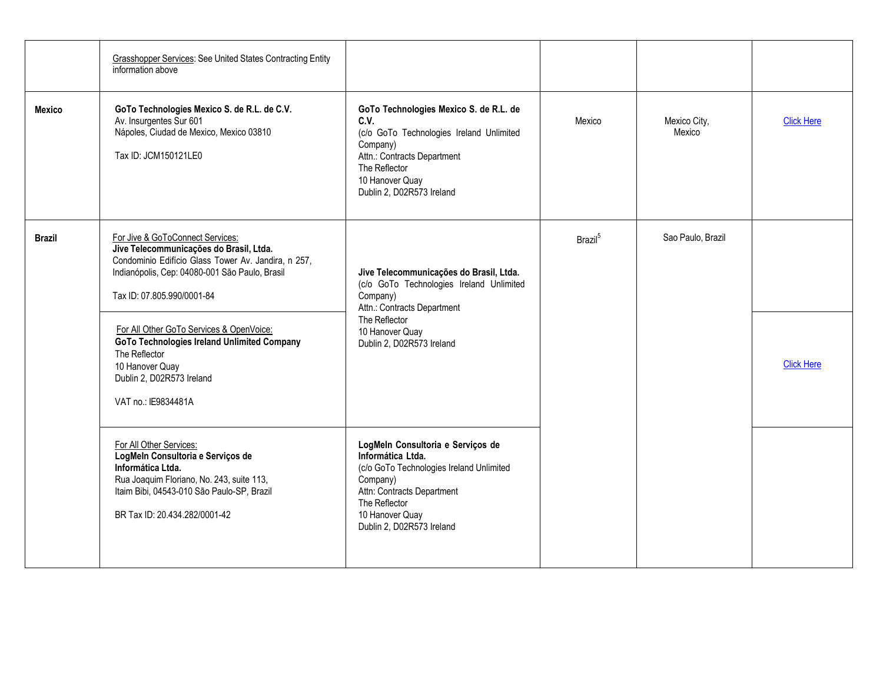|               | <b>Grasshopper Services: See United States Contracting Entity</b><br>information above                                                                                                                                                                                                                                                                                                                       |                                                                                                                                                                                                               |                     |                        |                   |
|---------------|--------------------------------------------------------------------------------------------------------------------------------------------------------------------------------------------------------------------------------------------------------------------------------------------------------------------------------------------------------------------------------------------------------------|---------------------------------------------------------------------------------------------------------------------------------------------------------------------------------------------------------------|---------------------|------------------------|-------------------|
| <b>Mexico</b> | GoTo Technologies Mexico S. de R.L. de C.V.<br>Av. Insurgentes Sur 601<br>Nápoles, Ciudad de Mexico, Mexico 03810<br>Tax ID: JCM150121LE0                                                                                                                                                                                                                                                                    | GoTo Technologies Mexico S. de R.L. de<br>C.V.<br>(c/o GoTo Technologies Ireland Unlimited<br>Company)<br>Attn.: Contracts Department<br>The Reflector<br>10 Hanover Quay<br>Dublin 2, D02R573 Ireland        | Mexico              | Mexico City,<br>Mexico | <b>Click Here</b> |
| <b>Brazil</b> | For Jive & GoToConnect Services:<br>Jive Telecommunicações do Brasil, Ltda.<br>Condominio Edifício Glass Tower Av. Jandira, n 257,<br>Indianópolis, Cep: 04080-001 São Paulo, Brasil<br>Tax ID: 07.805.990/0001-84<br>For All Other GoTo Services & OpenVoice:<br><b>GoTo Technologies Ireland Unlimited Company</b><br>The Reflector<br>10 Hanover Quay<br>Dublin 2, D02R573 Ireland<br>VAT no.: IE9834481A | Jive Telecommunicações do Brasil, Ltda.<br>(c/o GoTo Technologies Ireland Unlimited<br>Company)<br>Attn.: Contracts Department<br>The Reflector<br>10 Hanover Quay<br>Dublin 2, D02R573 Ireland               | Brazil <sup>5</sup> | Sao Paulo, Brazil      | <b>Click Here</b> |
|               | For All Other Services:<br>LogMeln Consultoria e Serviços de<br>Informática Ltda.<br>Rua Joaquim Floriano, No. 243, suite 113,<br>Itaim Bibi, 04543-010 São Paulo-SP, Brazil<br>BR Tax ID: 20.434.282/0001-42                                                                                                                                                                                                | LogMeln Consultoria e Serviços de<br>Informática Ltda.<br>(c/o GoTo Technologies Ireland Unlimited<br>Company)<br>Attn: Contracts Department<br>The Reflector<br>10 Hanover Quay<br>Dublin 2, D02R573 Ireland |                     |                        |                   |